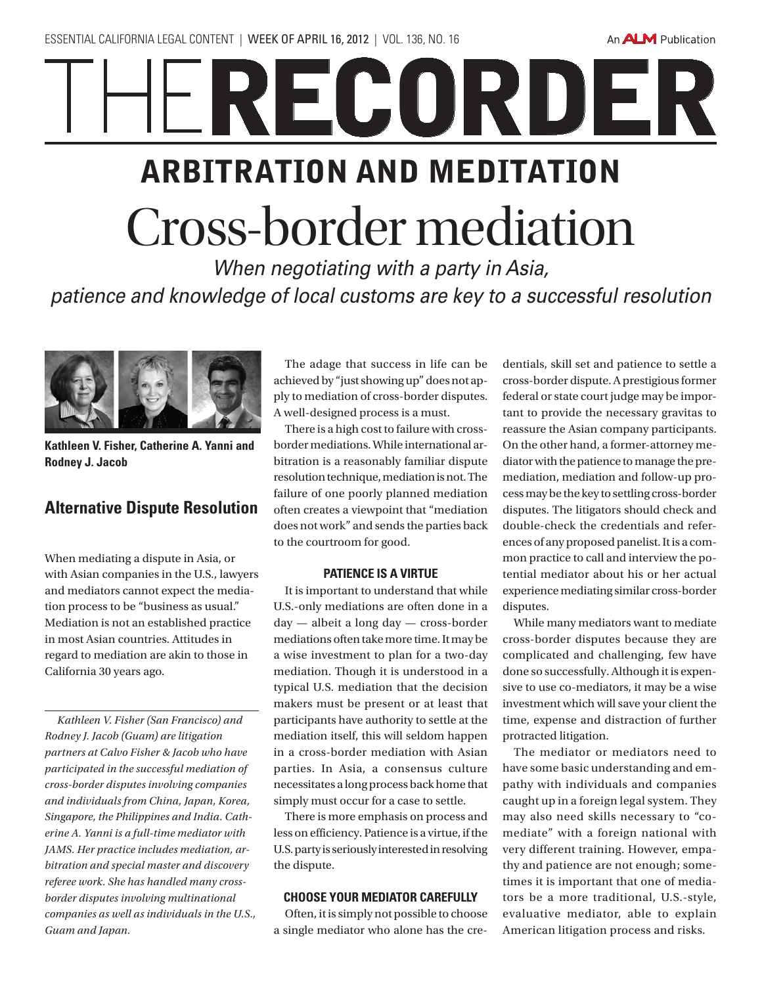An **ALM** Publication

# RECORDER arbitration and meditation Cross-border mediation

*When negotiating with a party in Asia, patience and knowledge of local customs are key to a successful resolution*



**Kathleen V. Fisher, Catherine A. Yanni and Rodney J. Jacob**

## **Alternative Dispute Resolution**

When mediating a dispute in Asia, or with Asian companies in the U.S., lawyers and mediators cannot expect the mediation process to be "business as usual." Mediation is not an established practice in most Asian countries. Attitudes in regard to mediation are akin to those in California 30 years ago.

*Kathleen V. Fisher (San Francisco) and Rodney J. Jacob (Guam) are litigation partners at Calvo Fisher & Jacob who have participated in the successful mediation of cross-border disputes involving companies and individuals from China, Japan, Korea, Singapore, the Philippines and India. Catherine A. Yanni is a full-time mediator with JAMS. Her practice includes mediation, arbitration and special master and discovery referee work. She has handled many crossborder disputes involving multinational companies as well as individuals in the U.S., Guam and Japan.*

The adage that success in life can be achieved by "just showing up" does not apply to mediation of cross-border disputes. A well-designed process is a must.

There is a high cost to failure with crossborder mediations. While international arbitration is a reasonably familiar dispute resolution technique, mediation is not. The failure of one poorly planned mediation often creates a viewpoint that "mediation does not work" and sends the parties back to the courtroom for good.

#### **Patience is a virtue**

It is important to understand that while U.S.-only mediations are often done in a day — albeit a long day — cross-border mediations often take more time. It may be a wise investment to plan for a two-day mediation. Though it is understood in a typical U.S. mediation that the decision makers must be present or at least that participants have authority to settle at the mediation itself, this will seldom happen in a cross-border mediation with Asian parties. In Asia, a consensus culture necessitates a long process back home that simply must occur for a case to settle.

There is more emphasis on process and less on efficiency. Patience is a virtue, if the U.S. party is seriously interested in resolving the dispute.

#### **Choose your mediator carefully**

Often, it is simply not possible to choose a single mediator who alone has the credentials, skill set and patience to settle a cross-border dispute. A prestigious former federal or state court judge may be important to provide the necessary gravitas to reassure the Asian company participants. On the other hand, a former-attorney mediator with the patience to manage the premediation, mediation and follow-up process may be the key to settling cross-border disputes. The litigators should check and double-check the credentials and references of any proposed panelist. It is a common practice to call and interview the potential mediator about his or her actual experience mediating similar cross-border disputes.

While many mediators want to mediate cross-border disputes because they are complicated and challenging, few have done so successfully. Although it is expensive to use co-mediators, it may be a wise investment which will save your client the time, expense and distraction of further protracted litigation.

The mediator or mediators need to have some basic understanding and empathy with individuals and companies caught up in a foreign legal system. They may also need skills necessary to "comediate" with a foreign national with very different training. However, empathy and patience are not enough; sometimes it is important that one of mediators be a more traditional, U.S.-style, evaluative mediator, able to explain American litigation process and risks.